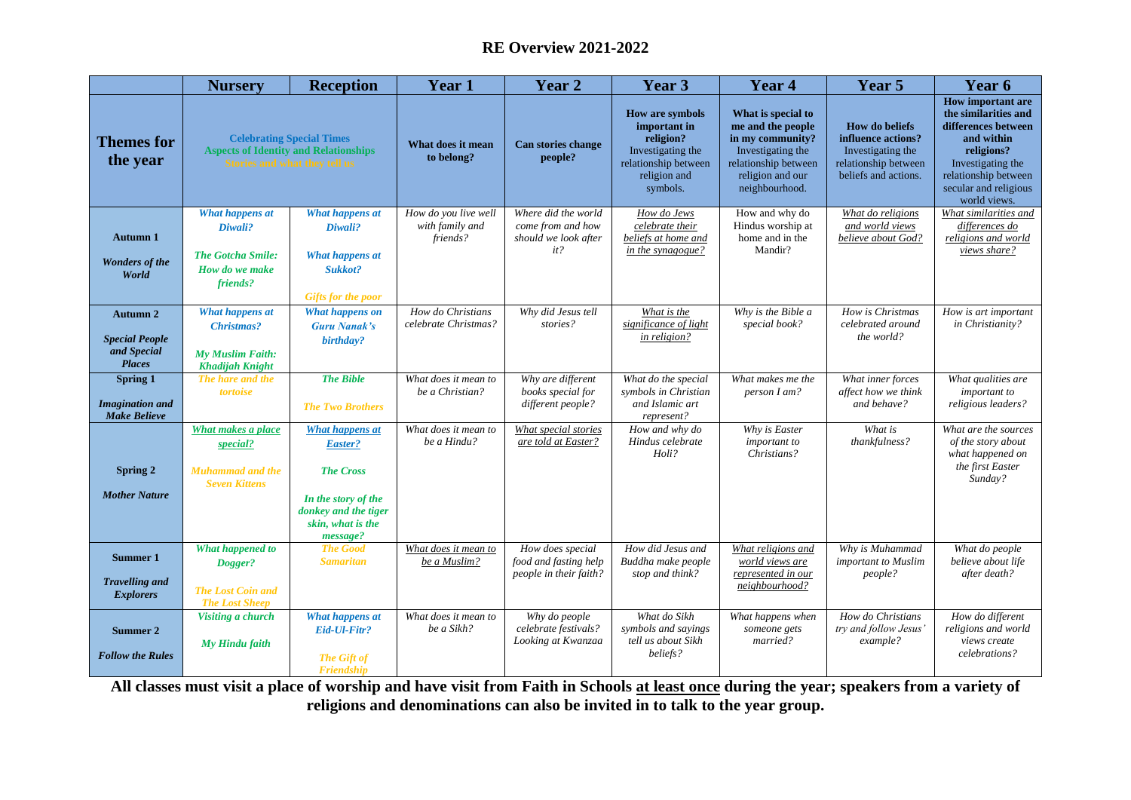## **RE Overview 2021-2022**

|                                                                          | <b>Nursery</b>                                                                                                           | <b>Reception</b>                                                                                                                      | <b>Year 1</b>                                       | Year 2                                                                  | Year 3                                                                                                                       | Year 4                                                                                                                                         | Year 5                                                                                                           | Year 6                                                                                                                                                                                    |
|--------------------------------------------------------------------------|--------------------------------------------------------------------------------------------------------------------------|---------------------------------------------------------------------------------------------------------------------------------------|-----------------------------------------------------|-------------------------------------------------------------------------|------------------------------------------------------------------------------------------------------------------------------|------------------------------------------------------------------------------------------------------------------------------------------------|------------------------------------------------------------------------------------------------------------------|-------------------------------------------------------------------------------------------------------------------------------------------------------------------------------------------|
| <b>Themes for</b><br>the year                                            | <b>Celebrating Special Times</b><br><b>Aspects of Identity and Relationships</b><br><b>Stories and what they tell us</b> |                                                                                                                                       | What does it mean<br>to belong?                     | Can stories change<br>people?                                           | <b>How are symbols</b><br>important in<br>religion?<br>Investigating the<br>relationship between<br>religion and<br>symbols. | What is special to<br>me and the people<br>in my community?<br>Investigating the<br>relationship between<br>religion and our<br>neighbourhood. | <b>How do beliefs</b><br>influence actions?<br>Investigating the<br>relationship between<br>beliefs and actions. | <b>How important are</b><br>the similarities and<br>differences between<br>and within<br>religions?<br>Investigating the<br>relationship between<br>secular and religious<br>world views. |
| <b>Autumn 1</b><br><b>Wonders of the</b><br>World                        | What happens at<br>Diwali?<br><b>The Gotcha Smile:</b><br>How do we make<br>friends?                                     | <b>What happens at</b><br>Diwali?<br><b>What happens at</b><br>Sukkot?<br><b>Gifts for the poor</b>                                   | How do you live well<br>with family and<br>friends? | Where did the world<br>come from and how<br>should we look after<br>it? | How do Jews<br>celebrate their<br>beliefs at home and<br>in the synagogue?                                                   | How and why do<br>Hindus worship at<br>home and in the<br>Mandir?                                                                              | What do religions<br>and world views<br>believe about God?                                                       | What similarities and<br>differences do<br>religions and world<br>views share?                                                                                                            |
| <b>Autumn 2</b><br><b>Special People</b><br>and Special<br><b>Places</b> | What happens at<br><b>Christmas?</b><br><b>My Muslim Faith:</b><br><b>Khadijah Knight</b>                                | <b>What happens on</b><br><b>Guru Nanak's</b><br>birthday?                                                                            | How do Christians<br>celebrate Christmas?           | Why did Jesus tell<br>stories?                                          | What is the<br>significance of light<br>in religion?                                                                         | Why is the Bible a<br>special book?                                                                                                            | How is Christmas<br>celebrated around<br>the world?                                                              | How is art important<br>in Christianity?                                                                                                                                                  |
| Spring 1<br><b>Imagination</b> and<br><b>Make Believe</b>                | The hare and the<br>tortoise                                                                                             | <b>The Bible</b><br><b>The Two Brothers</b>                                                                                           | What does it mean to<br>be a Christian?             | Why are different<br>books special for<br>different people?             | What do the special<br>symbols in Christian<br>and Islamic art<br>represent?                                                 | What makes me the<br>person I am?                                                                                                              | What inner forces<br>affect how we think<br>and behave?                                                          | What qualities are<br>important to<br>religious leaders?                                                                                                                                  |
| Spring 2<br><b>Mother Nature</b>                                         | <b>What makes a place</b><br>special?<br><b>Muhammad and the</b><br><b>Seven Kittens</b>                                 | <b>What happens at</b><br>Easter?<br><b>The Cross</b><br>In the story of the<br>donkey and the tiger<br>skin, what is the<br>message? | What does it mean to<br>be a Hindu?                 | What special stories<br>are told at Easter?                             | How and why do<br>Hindus celebrate<br>Holi?                                                                                  | Why is Easter<br>important to<br>Christians?                                                                                                   | What is<br>thankfulness?                                                                                         | What are the sources<br>of the story about<br>what happened on<br>the first Easter<br>Sunday?                                                                                             |
| <b>Summer 1</b><br><b>Travelling and</b><br><b>Explorers</b>             | What happened to<br>Dogger?<br><b>The Lost Coin and</b><br><b>The Lost Sheep</b>                                         | <b>The Good</b><br><b>Samaritan</b>                                                                                                   | What does it mean to<br>be a Muslim?                | How does special<br>food and fasting help<br>people in their faith?     | How did Jesus and<br>Buddha make people<br>stop and think?                                                                   | What religions and<br>world views are<br>represented in our<br>neighbourhood?                                                                  | Why is Muhammad<br>important to Muslim<br>people?                                                                | What do people<br>believe about life<br>after death?                                                                                                                                      |
| Summer 2<br><b>Follow the Rules</b>                                      | Visiting a church<br>My Hindu faith                                                                                      | What happens at<br>Eid-Ul-Fitr?<br><b>The Gift of</b><br>Friendship                                                                   | What does it mean to<br>be a Sikh?                  | Why do people<br>celebrate festivals?<br>Looking at Kwanzaa             | What do Sikh<br>symbols and sayings<br>tell us about Sikh<br>beliefs?                                                        | What happens when<br>someone gets<br>married?                                                                                                  | How do Christians<br>try and follow Jesus'<br>example?                                                           | How do different<br>religions and world<br>views create<br>celebrations?                                                                                                                  |

**All classes must visit a place of worship and have visit from Faith in Schools at least once during the year; speakers from a variety of religions and denominations can also be invited in to talk to the year group.**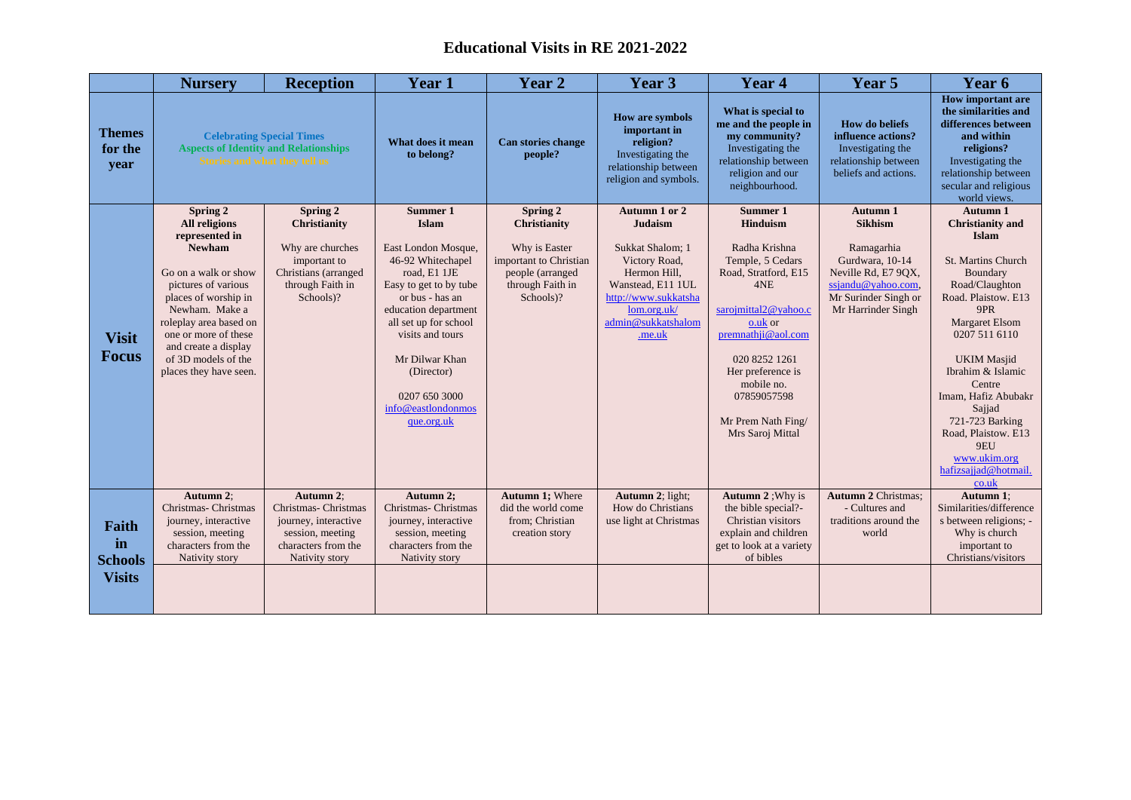## **Educational Visits in RE 2021-2022**

|                                                | <b>Nursery</b>                                                                                                                                                                                                                                                                   | <b>Reception</b>                                                                                                       | Year 1                                                                                                                                                                                                                                                                                      | Year 2                                                                                                                          | Year 3                                                                                                                                                                           | Year 4                                                                                                                                                                                                                                                         | Year 5                                                                                                                                                 | Year 6                                                                                                                                                                                                                                                                                                                                                                  |
|------------------------------------------------|----------------------------------------------------------------------------------------------------------------------------------------------------------------------------------------------------------------------------------------------------------------------------------|------------------------------------------------------------------------------------------------------------------------|---------------------------------------------------------------------------------------------------------------------------------------------------------------------------------------------------------------------------------------------------------------------------------------------|---------------------------------------------------------------------------------------------------------------------------------|----------------------------------------------------------------------------------------------------------------------------------------------------------------------------------|----------------------------------------------------------------------------------------------------------------------------------------------------------------------------------------------------------------------------------------------------------------|--------------------------------------------------------------------------------------------------------------------------------------------------------|-------------------------------------------------------------------------------------------------------------------------------------------------------------------------------------------------------------------------------------------------------------------------------------------------------------------------------------------------------------------------|
| <b>Themes</b><br>for the<br>year               | <b>Celebrating Special Times</b><br><b>Aspects of Identity and Relationships</b><br>Stories and what they tell us                                                                                                                                                                |                                                                                                                        | What does it mean<br>to belong?                                                                                                                                                                                                                                                             | Can stories change<br>people?                                                                                                   | <b>How are symbols</b><br>important in<br>religion?<br>Investigating the<br>relationship between<br>religion and symbols.                                                        | What is special to<br>me and the people in<br>my community?<br>Investigating the<br>relationship between<br>religion and our<br>neighbourhood.                                                                                                                 | <b>How do beliefs</b><br>influence actions?<br>Investigating the<br>relationship between<br>beliefs and actions.                                       | <b>How important are</b><br>the similarities and<br>differences between<br>and within<br>religions?<br>Investigating the<br>relationship between<br>secular and religious<br>world views.                                                                                                                                                                               |
| <b>Visit</b><br><b>Focus</b>                   | Spring 2<br>All religions<br>represented in<br><b>Newham</b><br>Go on a walk or show<br>pictures of various<br>places of worship in<br>Newham. Make a<br>roleplay area based on<br>one or more of these<br>and create a display<br>of 3D models of the<br>places they have seen. | Spring 2<br>Christianity<br>Why are churches<br>important to<br>Christians (arranged<br>through Faith in<br>Schools)?  | Summer 1<br><b>Islam</b><br>East London Mosque,<br>46-92 Whitechapel<br>road, E1 1JE<br>Easy to get to by tube<br>or bus - has an<br>education department<br>all set up for school<br>visits and tours<br>Mr Dilwar Khan<br>(Director)<br>0207 650 3000<br>info@eastlondonmos<br>que.org.uk | Spring 2<br><b>Christianity</b><br>Why is Easter<br>important to Christian<br>people (arranged<br>through Faith in<br>Schools)? | Autumn 1 or 2<br><b>Judaism</b><br>Sukkat Shalom; 1<br>Victory Road,<br>Hermon Hill,<br>Wanstead, E11 1UL<br>http://www.sukkatsha<br>lom.org.uk/<br>admin@sukkatshalom<br>.me.uk | Summer 1<br>Hinduism<br>Radha Krishna<br>Temple, 5 Cedars<br>Road, Stratford, E15<br>4NE<br>sarojmittal2@yahoo.c<br>o.uk or<br>premnathji@aol.com<br>020 8252 1261<br>Her preference is<br>mobile no.<br>07859057598<br>Mr Prem Nath Fing/<br>Mrs Saroj Mittal | Autumn 1<br><b>Sikhism</b><br>Ramagarhia<br>Gurdwara, 10-14<br>Neville Rd, E7 90X,<br>ssjandu@yahoo.com,<br>Mr Surinder Singh or<br>Mr Harrinder Singh | Autumn 1<br><b>Christianity and</b><br><b>Islam</b><br><b>St. Martins Church</b><br>Boundary<br>Road/Claughton<br>Road. Plaistow. E13<br>9PR<br>Margaret Elsom<br>0207 511 6110<br><b>UKIM</b> Masjid<br>Ibrahim & Islamic<br>Centre<br>Imam, Hafiz Abubakr<br>Sajjad<br>721-723 Barking<br>Road, Plaistow. E13<br>9EU<br>www.ukim.org<br>hafizsajjad@hotmail.<br>co.uk |
| Faith<br>in<br><b>Schools</b><br><b>Visits</b> | Autumn 2:<br>Christmas- Christmas<br>journey, interactive<br>session, meeting<br>characters from the<br>Nativity story                                                                                                                                                           | Autumn 2:<br>Christmas- Christmas<br>journey, interactive<br>session, meeting<br>characters from the<br>Nativity story | Autumn 2;<br>Christmas- Christmas<br>journey, interactive<br>session, meeting<br>characters from the<br>Nativity story                                                                                                                                                                      | Autumn 1; Where<br>did the world come<br>from; Christian<br>creation story                                                      | Autumn 2; light;<br>How do Christians<br>use light at Christmas                                                                                                                  | Autumn 2 ; Why is<br>the bible special?-<br>Christian visitors<br>explain and children<br>get to look at a variety<br>of bibles                                                                                                                                | <b>Autumn 2 Christmas;</b><br>- Cultures and<br>traditions around the<br>world                                                                         | Autumn 1:<br>Similarities/difference<br>s between religions; -<br>Why is church<br>important to<br>Christians/visitors                                                                                                                                                                                                                                                  |